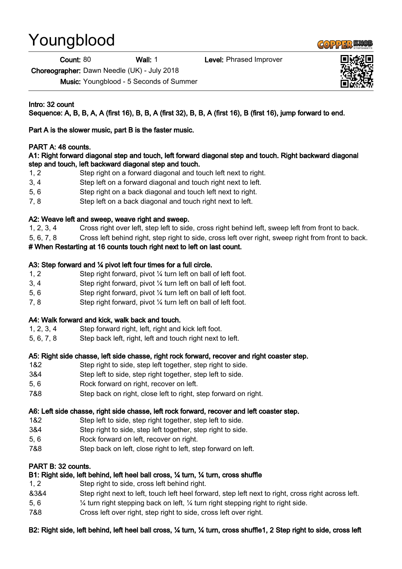# Youngblood

**Count: 80 Wall: 1** Level: Phrased Improver

Choreographer: Dawn Needle (UK) - July 2018

Music: Youngblood - 5 Seconds of Summer

Intro: 32 count

Sequence: A, B, B, A, A (first 16), B, B, A (first 32), B, B, A (first 16), B (first 16), jump forward to end.

Part A is the slower music, part B is the faster music.

# PART A: 48 counts.

#### A1: Right forward diagonal step and touch, left forward diagonal step and touch. Right backward diagonal step and touch, left backward diagonal step and touch.

- 1, 2 Step right on a forward diagonal and touch left next to right.
- 3, 4 Step left on a forward diagonal and touch right next to left.
- 5, 6 Step right on a back diagonal and touch left next to right.
- 7, 8 Step left on a back diagonal and touch right next to left.

# A2: Weave left and sweep, weave right and sweep.

- 1, 2, 3, 4 Cross right over left, step left to side, cross right behind left, sweep left from front to back.
- 5, 6, 7, 8 Cross left behind right, step right to side, cross left over right, sweep right from front to back.

# # When Restarting at 16 counts touch right next to left on last count.

## A3: Step forward and ¼ pivot left four times for a full circle.

- 1, 2 Step right forward, pivot ¼ turn left on ball of left foot.
- 3, 4 Step right forward, pivot ¼ turn left on ball of left foot.
- 5, 6 Step right forward, pivot ¼ turn left on ball of left foot.
- 7, 8 Step right forward, pivot ¼ turn left on ball of left foot.

#### A4: Walk forward and kick, walk back and touch.

- 1, 2, 3, 4 Step forward right, left, right and kick left foot.
- 5, 6, 7, 8 Step back left, right, left and touch right next to left.

#### A5: Right side chasse, left side chasse, right rock forward, recover and right coaster step.

- 1&2 Step right to side, step left together, step right to side.
- 3&4 Step left to side, step right together, step left to side.
- 5, 6 Rock forward on right, recover on left.
- 7&8 Step back on right, close left to right, step forward on right.

#### A6: Left side chasse, right side chasse, left rock forward, recover and left coaster step.

- 1&2 Step left to side, step right together, step left to side.
- 3&4 Step right to side, step left together, step right to side.
- 5, 6 Rock forward on left, recover on right.
- 7&8 Step back on left, close right to left, step forward on left.

#### PART B: 32 counts.

# B1: Right side, left behind, left heel ball cross, ¼ turn, ¼ turn, cross shuffle

- 1, 2 Step right to side, cross left behind right.
- &3&4 Step right next to left, touch left heel forward, step left next to right, cross right across left.
- 5, 6 ¼ turn right stepping back on left, ¼ turn right stepping right to right side.
- 7&8 Cross left over right, step right to side, cross left over right.

#### B2: Right side, left behind, left heel ball cross, ¼ turn, ¼ turn, cross shuffle1, 2 Step right to side, cross left